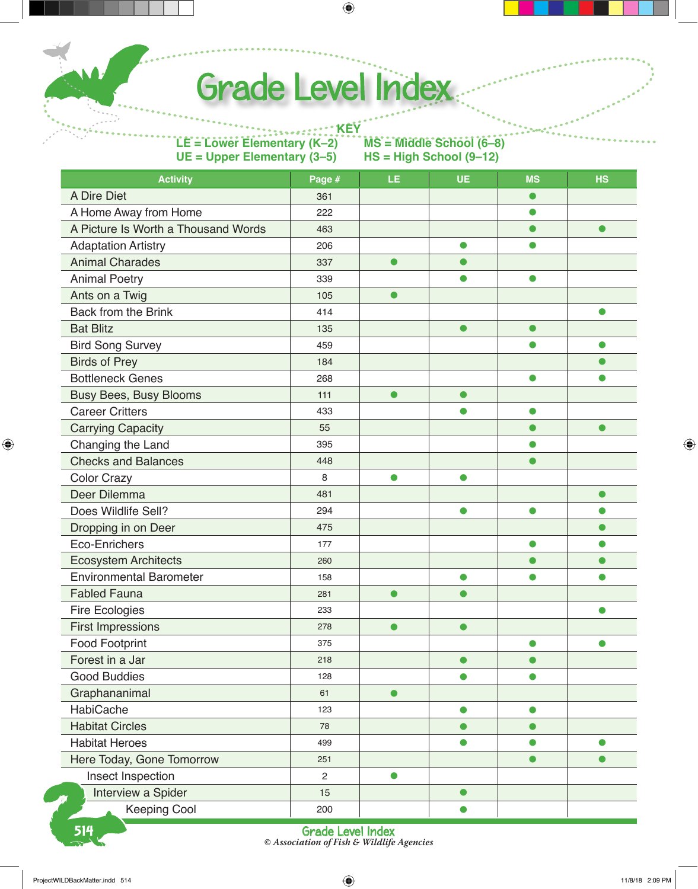Grade Level Index

**KEY LE = Lower Elementary (K–2) MS = Middle School (6–8) UE = Upper Elementary (3–5)** 

| <b>Activity</b>                     | Page #         | LE        | <b>UE</b> | <b>MS</b> | <b>HS</b> |
|-------------------------------------|----------------|-----------|-----------|-----------|-----------|
| A Dire Diet                         | 361            |           |           | $\bullet$ |           |
| A Home Away from Home               | 222            |           |           | $\bullet$ |           |
| A Picture Is Worth a Thousand Words | 463            |           |           | $\bullet$ | $\bullet$ |
| <b>Adaptation Artistry</b>          | 206            |           | $\bullet$ | $\bullet$ |           |
| <b>Animal Charades</b>              | 337            | $\bullet$ | $\bullet$ |           |           |
| <b>Animal Poetry</b>                | 339            |           | $\bullet$ | $\bullet$ |           |
| Ants on a Twig                      | 105            | $\bullet$ |           |           |           |
| <b>Back from the Brink</b>          | 414            |           |           |           | $\bullet$ |
| <b>Bat Blitz</b>                    | 135            |           | $\bullet$ | $\bullet$ |           |
| <b>Bird Song Survey</b>             | 459            |           |           | O         | $\bullet$ |
| <b>Birds of Prey</b>                | 184            |           |           |           | ●         |
| <b>Bottleneck Genes</b>             | 268            |           |           | $\bullet$ | O         |
| Busy Bees, Busy Blooms              | 111            | $\bullet$ | $\bullet$ |           |           |
| <b>Career Critters</b>              | 433            |           | $\bullet$ | $\bullet$ |           |
| <b>Carrying Capacity</b>            | 55             |           |           | $\bullet$ | $\bullet$ |
| Changing the Land                   | 395            |           |           | $\bullet$ |           |
| <b>Checks and Balances</b>          | 448            |           |           | $\bullet$ |           |
| <b>Color Crazy</b>                  | 8              | $\bullet$ | $\bullet$ |           |           |
| Deer Dilemma                        | 481            |           |           |           | $\bullet$ |
| Does Wildlife Sell?                 | 294            |           | $\bullet$ | $\bullet$ | $\bullet$ |
| Dropping in on Deer                 | 475            |           |           |           | $\bullet$ |
| Eco-Enrichers                       | 177            |           |           | $\bullet$ | $\bullet$ |
| <b>Ecosystem Architects</b>         | 260            |           |           | $\bullet$ | $\bullet$ |
| <b>Environmental Barometer</b>      | 158            |           | $\bullet$ | $\bullet$ | $\bullet$ |
| <b>Fabled Fauna</b>                 | 281            | $\bullet$ | $\bullet$ |           |           |
| <b>Fire Ecologies</b>               | 233            |           |           |           | $\bullet$ |
| <b>First Impressions</b>            | 278            | $\bullet$ | $\bullet$ |           |           |
| <b>Food Footprint</b>               | 375            |           |           | $\bullet$ | $\bullet$ |
| Forest in a Jar                     | 218            |           | $\bullet$ | $\bullet$ |           |
| <b>Good Buddies</b>                 | 128            |           | $\bullet$ | $\bullet$ |           |
| Graphananimal                       | 61             | $\bullet$ |           |           |           |
| HabiCache                           | 123            |           | $\bullet$ | $\bullet$ |           |
| <b>Habitat Circles</b>              | 78             |           | $\bullet$ | $\bullet$ |           |
| <b>Habitat Heroes</b>               | 499            |           | $\bullet$ | $\bullet$ | $\bullet$ |
| Here Today, Gone Tomorrow           | 251            |           |           |           | $\bullet$ |
| Insect Inspection                   | $\overline{2}$ | $\bullet$ |           |           |           |
| Interview a Spider<br>Ø             | 15             |           | $\bullet$ |           |           |
| <b>Keeping Cool</b>                 | 200            |           | $\bullet$ |           |           |

514